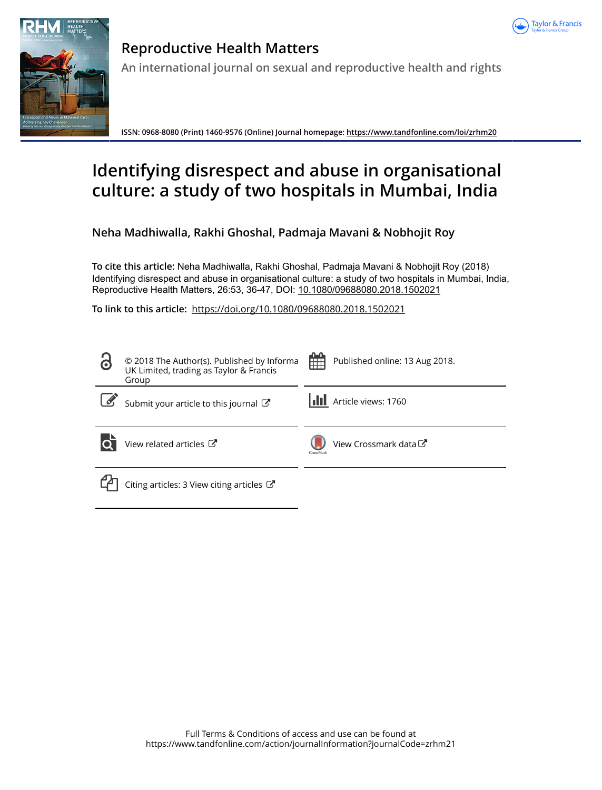



**Reproductive Health Matters An international journal on sexual and reproductive health and rights**

**ISSN: 0968-8080 (Print) 1460-9576 (Online) Journal homepage:<https://www.tandfonline.com/loi/zrhm20>**

# **Identifying disrespect and abuse in organisational culture: a study of two hospitals in Mumbai, India**

**Neha Madhiwalla, Rakhi Ghoshal, Padmaja Mavani & Nobhojit Roy**

**To cite this article:** Neha Madhiwalla, Rakhi Ghoshal, Padmaja Mavani & Nobhojit Roy (2018) Identifying disrespect and abuse in organisational culture: a study of two hospitals in Mumbai, India, Reproductive Health Matters, 26:53, 36-47, DOI: [10.1080/09688080.2018.1502021](https://www.tandfonline.com/action/showCitFormats?doi=10.1080/09688080.2018.1502021)

**To link to this article:** <https://doi.org/10.1080/09688080.2018.1502021>

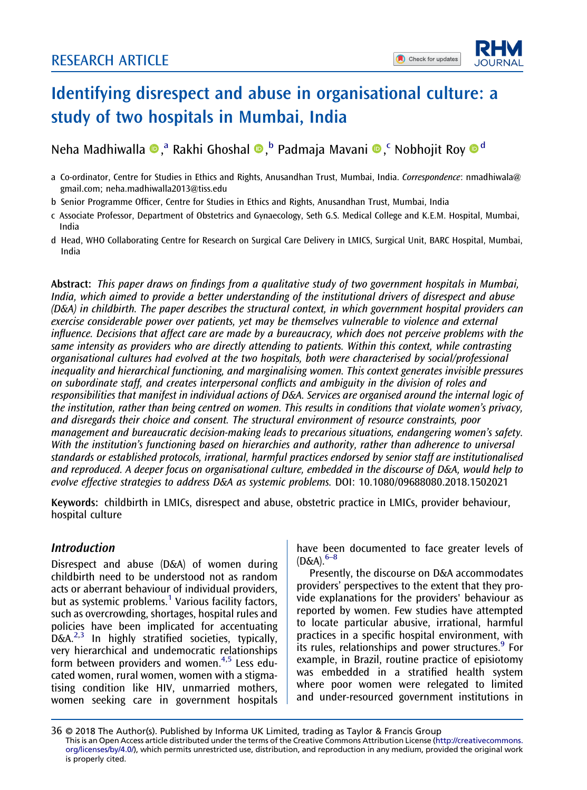## <span id="page-1-0"></span>Identifying disrespect and abuse in organisational culture: a study of two hospitals in Mumbai, India

Neha Madhiwalla <sup>®</sup>,ª Rakhi Ghoshal ®,<sup>b</sup> Padmaja Mavani ®,<sup>c</sup> Nobhojit Roy ®<sup>d</sup>

- b Senior Programme Officer, Centre for Studies in Ethics and Rights, Anusandhan Trust, Mumbai, India
- c Associate Professor, Department of Obstetrics and Gynaecology, Seth G.S. Medical College and K.E.M. Hospital, Mumbai, India
- d Head, WHO Collaborating Centre for Research on Surgical Care Delivery in LMICS, Surgical Unit, BARC Hospital, Mumbai, India

Abstract: This paper draws on findings from a qualitative study of two government hospitals in Mumbai, India, which aimed to provide a better understanding of the institutional drivers of disrespect and abuse (D&A) in childbirth. The paper describes the structural context, in which government hospital providers can exercise considerable power over patients, yet may be themselves vulnerable to violence and external influence. Decisions that affect care are made by a bureaucracy, which does not perceive problems with the same intensity as providers who are directly attending to patients. Within this context, while contrasting organisational cultures had evolved at the two hospitals, both were characterised by social/professional inequality and hierarchical functioning, and marginalising women. This context generates invisible pressures on subordinate staff, and creates interpersonal conflicts and ambiguity in the division of roles and responsibilities that manifest in individual actions of D&A. Services are organised around the internal logic of the institution, rather than being centred on women. This results in conditions that violate women's privacy, and disregards their choice and consent. The structural environment of resource constraints, poor management and bureaucratic decision-making leads to precarious situations, endangering women's safety. With the institution's functioning based on hierarchies and authority, rather than adherence to universal standards or established protocols, irrational, harmful practices endorsed by senior staff are institutionalised and reproduced. A deeper focus on organisational culture, embedded in the discourse of D&A, would help to evolve effective strategies to address D&A as systemic problems. DOI: 10.1080/09688080.2018.1502021

Keywords: childbirth in LMICs, disrespect and abuse, obstetric practice in LMICs, provider behaviour, hospital culture

### Introduction

Disrespect and abuse (D&A) of women during childbirth need to be understood not as random acts or aberrant behaviour of individual providers, but as systemic problems.<sup>[1](#page-10-0)</sup> Various facility factors, such as overcrowding, shortages, hospital rules and policies have been implicated for accentuating D&A.<sup>[2,3](#page-10-0)</sup> In highly stratified societies, typically, very hierarchical and undemocratic relationships form between providers and women.<sup>[4,5](#page-10-0)</sup> Less educated women, rural women, women with a stigmatising condition like HIV, unmarried mothers, women seeking care in government hospitals have been documented to face greater levels of  $(D&A).^{6-8}$ 

Presently, the discourse on D&A accommodates providers' perspectives to the extent that they provide explanations for the providers' behaviour as reported by women. Few studies have attempted to locate particular abusive, irrational, harmful practices in a specific hospital environment, with its rules, relationships and power structures.<sup>[9](#page-10-0)</sup> For example, in Brazil, routine practice of episiotomy was embedded in a stratified health system where poor women were relegated to limited and under-resourced government institutions in

a Co-ordinator, Centre for Studies in Ethics and Rights, Anusandhan Trust, Mumbai, India. Correspondence: [nmadhiwala@](mailto:nmadhiwala@gmail.com) [gmail.com;](mailto:nmadhiwala@gmail.com) [neha.madhiwalla2013@tiss.edu](mailto:neha.madhiwalla2013@tiss.edu)

<sup>36</sup> © 2018 The Author(s). Published by Informa UK Limited, trading as Taylor & Francis Group This is an Open Access article distributed under the terms of the Creative Commons Attribution License [\(http://creativecommons.](http://creativecommons.org/licenses/by/4.0/) [org/licenses/by/4.0/\)](http://creativecommons.org/licenses/by/4.0/), which permits unrestricted use, distribution, and reproduction in any medium, provided the original work is properly cited.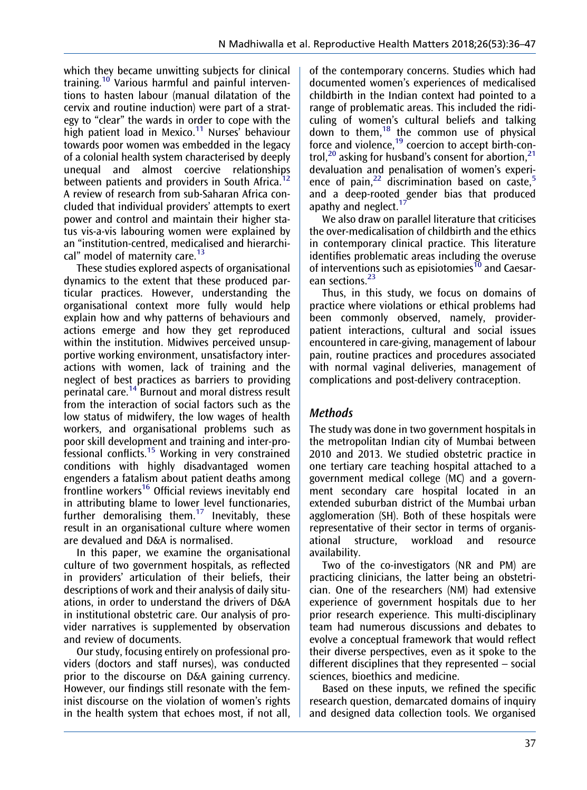<span id="page-2-0"></span>which they became unwitting subjects for clinical training.[10](#page-10-0) Various harmful and painful interventions to hasten labour (manual dilatation of the cervix and routine induction) were part of a strategy to "clear" the wards in order to cope with the high patient load in Mexico.<sup>[11](#page-10-0)</sup> Nurses' behaviour towards poor women was embedded in the legacy of a colonial health system characterised by deeply unequal and almost coercive relationships between patients and providers in South Africa.<sup>[12](#page-10-0)</sup> A review of research from sub-Saharan Africa concluded that individual providers' attempts to exert power and control and maintain their higher status vis-a-vis labouring women were explained by an "institution-centred, medicalised and hierarchi-cal" model of maternity care.<sup>[13](#page-10-0)</sup>

These studies explored aspects of organisational dynamics to the extent that these produced particular practices. However, understanding the organisational context more fully would help explain how and why patterns of behaviours and actions emerge and how they get reproduced within the institution. Midwives perceived unsupportive working environment, unsatisfactory interactions with women, lack of training and the neglect of best practices as barriers to providing perinatal care.[14](#page-10-0) Burnout and moral distress result from the interaction of social factors such as the low status of midwifery, the low wages of health workers, and organisational problems such as poor skill development and training and inter-professional conflicts.[15](#page-10-0) Working in very constrained conditions with highly disadvantaged women engenders a fatalism about patient deaths among frontline workers[16](#page-10-0) Official reviews inevitably end in attributing blame to lower level functionaries, further demoralising them.<sup>[17](#page-10-0)</sup> Inevitably, these result in an organisational culture where women are devalued and D&A is normalised.

In this paper, we examine the organisational culture of two government hospitals, as reflected in providers' articulation of their beliefs, their descriptions of work and their analysis of daily situations, in order to understand the drivers of D&A in institutional obstetric care. Our analysis of provider narratives is supplemented by observation and review of documents.

Our study, focusing entirely on professional providers (doctors and staff nurses), was conducted prior to the discourse on D&A gaining currency. However, our findings still resonate with the feminist discourse on the violation of women's rights in the health system that echoes most, if not all, of the contemporary concerns. Studies which had documented women's experiences of medicalised childbirth in the Indian context had pointed to a range of problematic areas. This included the ridiculing of women's cultural beliefs and talking down to them,[18](#page-10-0) the common use of physical force and violence.<sup>[19](#page-11-0)</sup> coercion to accept birth-con-trol,<sup>[20](#page-11-0)</sup> asking for husband's consent for abortion,<sup>[21](#page-11-0)</sup> devaluation and penalisation of women's experience of pain, $^{22}$  $^{22}$  $^{22}$  discrimination based on caste.<sup>[5](#page-10-0)</sup> and a deep-rooted gender bias that produced apathy and neglect. $17$ 

We also draw on parallel literature that criticises the over-medicalisation of childbirth and the ethics in contemporary clinical practice. This literature identifies problematic areas including the overuse of interventions such as episiotomies<sup>[10](#page-10-0)</sup> and Caesar-ean sections.<sup>[23](#page-11-0)</sup>

Thus, in this study, we focus on domains of practice where violations or ethical problems had been commonly observed, namely, providerpatient interactions, cultural and social issues encountered in care-giving, management of labour pain, routine practices and procedures associated with normal vaginal deliveries, management of complications and post-delivery contraception.

## **Methods**

The study was done in two government hospitals in the metropolitan Indian city of Mumbai between 2010 and 2013. We studied obstetric practice in one tertiary care teaching hospital attached to a government medical college (MC) and a government secondary care hospital located in an extended suburban district of the Mumbai urban agglomeration (SH). Both of these hospitals were representative of their sector in terms of organisational structure, workload and resource availability.

Two of the co-investigators (NR and PM) are practicing clinicians, the latter being an obstetrician. One of the researchers (NM) had extensive experience of government hospitals due to her prior research experience. This multi-disciplinary team had numerous discussions and debates to evolve a conceptual framework that would reflect their diverse perspectives, even as it spoke to the different disciplines that they represented – social sciences, bioethics and medicine.

Based on these inputs, we refined the specific research question, demarcated domains of inquiry and designed data collection tools. We organised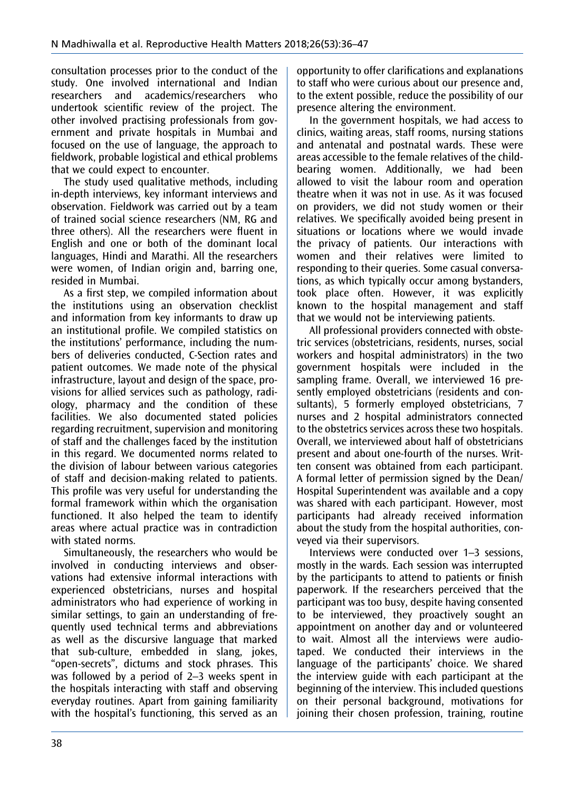consultation processes prior to the conduct of the study. One involved international and Indian researchers and academics/researchers who undertook scientific review of the project. The other involved practising professionals from government and private hospitals in Mumbai and focused on the use of language, the approach to fieldwork, probable logistical and ethical problems that we could expect to encounter.

The study used qualitative methods, including in-depth interviews, key informant interviews and observation. Fieldwork was carried out by a team of trained social science researchers (NM, RG and three others). All the researchers were fluent in English and one or both of the dominant local languages, Hindi and Marathi. All the researchers were women, of Indian origin and, barring one, resided in Mumbai.

As a first step, we compiled information about the institutions using an observation checklist and information from key informants to draw up an institutional profile. We compiled statistics on the institutions' performance, including the numbers of deliveries conducted, C-Section rates and patient outcomes. We made note of the physical infrastructure, layout and design of the space, provisions for allied services such as pathology, radiology, pharmacy and the condition of these facilities. We also documented stated policies regarding recruitment, supervision and monitoring of staff and the challenges faced by the institution in this regard. We documented norms related to the division of labour between various categories of staff and decision-making related to patients. This profile was very useful for understanding the formal framework within which the organisation functioned. It also helped the team to identify areas where actual practice was in contradiction with stated norms.

Simultaneously, the researchers who would be involved in conducting interviews and observations had extensive informal interactions with experienced obstetricians, nurses and hospital administrators who had experience of working in similar settings, to gain an understanding of frequently used technical terms and abbreviations as well as the discursive language that marked that sub-culture, embedded in slang, jokes, "open-secrets", dictums and stock phrases. This was followed by a period of 2–3 weeks spent in the hospitals interacting with staff and observing everyday routines. Apart from gaining familiarity with the hospital's functioning, this served as an

opportunity to offer clarifications and explanations to staff who were curious about our presence and, to the extent possible, reduce the possibility of our presence altering the environment.

In the government hospitals, we had access to clinics, waiting areas, staff rooms, nursing stations and antenatal and postnatal wards. These were areas accessible to the female relatives of the childbearing women. Additionally, we had been allowed to visit the labour room and operation theatre when it was not in use. As it was focused on providers, we did not study women or their relatives. We specifically avoided being present in situations or locations where we would invade the privacy of patients. Our interactions with women and their relatives were limited to responding to their queries. Some casual conversations, as which typically occur among bystanders, took place often. However, it was explicitly known to the hospital management and staff that we would not be interviewing patients.

All professional providers connected with obstetric services (obstetricians, residents, nurses, social workers and hospital administrators) in the two government hospitals were included in the sampling frame. Overall, we interviewed 16 presently employed obstetricians (residents and consultants), 5 formerly employed obstetricians, 7 nurses and 2 hospital administrators connected to the obstetrics services across these two hospitals. Overall, we interviewed about half of obstetricians present and about one-fourth of the nurses. Written consent was obtained from each participant. A formal letter of permission signed by the Dean/ Hospital Superintendent was available and a copy was shared with each participant. However, most participants had already received information about the study from the hospital authorities, conveyed via their supervisors.

Interviews were conducted over 1–3 sessions, mostly in the wards. Each session was interrupted by the participants to attend to patients or finish paperwork. If the researchers perceived that the participant was too busy, despite having consented to be interviewed, they proactively sought an appointment on another day and or volunteered to wait. Almost all the interviews were audiotaped. We conducted their interviews in the language of the participants' choice. We shared the interview guide with each participant at the beginning of the interview. This included questions on their personal background, motivations for joining their chosen profession, training, routine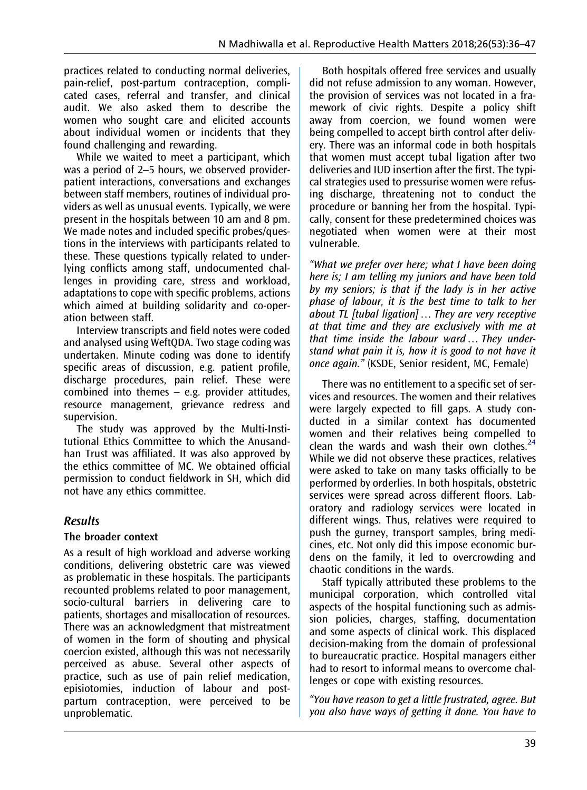<span id="page-4-0"></span>practices related to conducting normal deliveries, pain-relief, post-partum contraception, complicated cases, referral and transfer, and clinical audit. We also asked them to describe the women who sought care and elicited accounts about individual women or incidents that they found challenging and rewarding.

While we waited to meet a participant, which was a period of 2–5 hours, we observed providerpatient interactions, conversations and exchanges between staff members, routines of individual providers as well as unusual events. Typically, we were present in the hospitals between 10 am and 8 pm. We made notes and included specific probes/questions in the interviews with participants related to these. These questions typically related to underlying conflicts among staff, undocumented challenges in providing care, stress and workload, adaptations to cope with specific problems, actions which aimed at building solidarity and co-operation between staff.

Interview transcripts and field notes were coded and analysed using WeftQDA. Two stage coding was undertaken. Minute coding was done to identify specific areas of discussion, e.g. patient profile, discharge procedures, pain relief. These were combined into themes – e.g. provider attitudes, resource management, grievance redress and supervision.

The study was approved by the Multi-Institutional Ethics Committee to which the Anusandhan Trust was affiliated. It was also approved by the ethics committee of MC. We obtained official permission to conduct fieldwork in SH, which did not have any ethics committee.

## Results

### The broader context

As a result of high workload and adverse working conditions, delivering obstetric care was viewed as problematic in these hospitals. The participants recounted problems related to poor management, socio-cultural barriers in delivering care to patients, shortages and misallocation of resources. There was an acknowledgment that mistreatment of women in the form of shouting and physical coercion existed, although this was not necessarily perceived as abuse. Several other aspects of practice, such as use of pain relief medication, episiotomies, induction of labour and postpartum contraception, were perceived to be unproblematic.

Both hospitals offered free services and usually did not refuse admission to any woman. However, the provision of services was not located in a framework of civic rights. Despite a policy shift away from coercion, we found women were being compelled to accept birth control after delivery. There was an informal code in both hospitals that women must accept tubal ligation after two deliveries and IUD insertion after the first. The typical strategies used to pressurise women were refusing discharge, threatening not to conduct the procedure or banning her from the hospital. Typically, consent for these predetermined choices was negotiated when women were at their most vulnerable.

"What we prefer over here; what I have been doing here is; I am telling my juniors and have been told by my seniors; is that if the lady is in her active phase of labour, it is the best time to talk to her about TL [tubal ligation] … They are very receptive at that time and they are exclusively with me at that time inside the labour ward … They understand what pain it is, how it is good to not have it once again." (KSDE, Senior resident, MC, Female)

There was no entitlement to a specific set of services and resources. The women and their relatives were largely expected to fill gaps. A study conducted in a similar context has documented women and their relatives being compelled to clean the wards and wash their own clothes. $24$ While we did not observe these practices, relatives were asked to take on many tasks officially to be performed by orderlies. In both hospitals, obstetric services were spread across different floors. Laboratory and radiology services were located in different wings. Thus, relatives were required to push the gurney, transport samples, bring medicines, etc. Not only did this impose economic burdens on the family, it led to overcrowding and chaotic conditions in the wards.

Staff typically attributed these problems to the municipal corporation, which controlled vital aspects of the hospital functioning such as admission policies, charges, staffing, documentation and some aspects of clinical work. This displaced decision-making from the domain of professional to bureaucratic practice. Hospital managers either had to resort to informal means to overcome challenges or cope with existing resources.

"You have reason to get a little frustrated, agree. But you also have ways of getting it done. You have to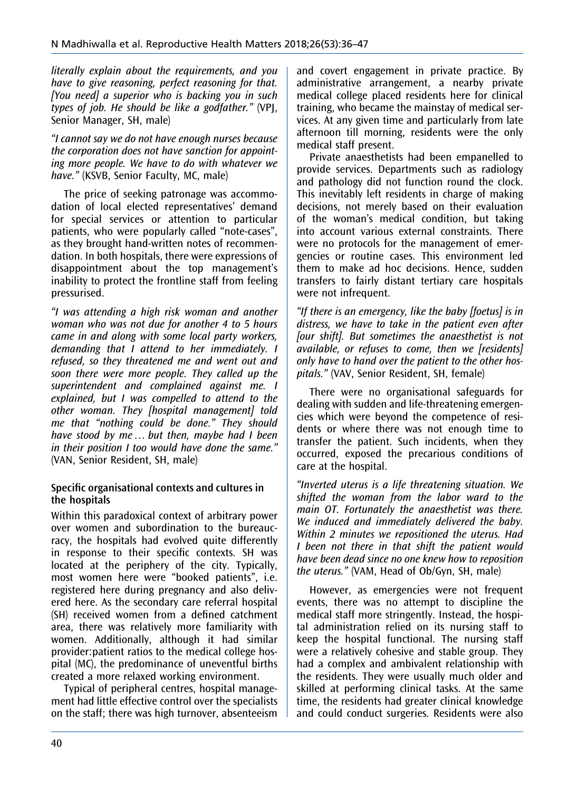literally explain about the requirements, and you have to give reasoning, perfect reasoning for that. [You need] a superior who is backing you in such types of job. He should be like a godfather." (VPJ, Senior Manager, SH, male)

"I cannot say we do not have enough nurses because the corporation does not have sanction for appointing more people. We have to do with whatever we have." (KSVB, Senior Faculty, MC, male)

The price of seeking patronage was accommodation of local elected representatives' demand for special services or attention to particular patients, who were popularly called "note-cases", as they brought hand-written notes of recommendation. In both hospitals, there were expressions of disappointment about the top management's inability to protect the frontline staff from feeling pressurised.

"I was attending a high risk woman and another woman who was not due for another 4 to 5 hours came in and along with some local party workers, demanding that I attend to her immediately. I refused, so they threatened me and went out and soon there were more people. They called up the superintendent and complained against me. I explained, but I was compelled to attend to the other woman. They [hospital management] told me that "nothing could be done." They should have stood by me … but then, maybe had I been in their position I too would have done the same." (VAN, Senior Resident, SH, male)

#### Specific organisational contexts and cultures in the hospitals

Within this paradoxical context of arbitrary power over women and subordination to the bureaucracy, the hospitals had evolved quite differently in response to their specific contexts. SH was located at the periphery of the city. Typically, most women here were "booked patients", i.e. registered here during pregnancy and also delivered here. As the secondary care referral hospital (SH) received women from a defined catchment area, there was relatively more familiarity with women. Additionally, although it had similar provider:patient ratios to the medical college hospital (MC), the predominance of uneventful births created a more relaxed working environment.

Typical of peripheral centres, hospital management had little effective control over the specialists on the staff; there was high turnover, absenteeism and covert engagement in private practice. By administrative arrangement, a nearby private medical college placed residents here for clinical training, who became the mainstay of medical services. At any given time and particularly from late afternoon till morning, residents were the only medical staff present.

Private anaesthetists had been empanelled to provide services. Departments such as radiology and pathology did not function round the clock. This inevitably left residents in charge of making decisions, not merely based on their evaluation of the woman's medical condition, but taking into account various external constraints. There were no protocols for the management of emergencies or routine cases. This environment led them to make ad hoc decisions. Hence, sudden transfers to fairly distant tertiary care hospitals were not infrequent.

"If there is an emergency, like the baby [foetus] is in distress, we have to take in the patient even after [our shift]. But sometimes the anaesthetist is not available, or refuses to come, then we [residents] only have to hand over the patient to the other hospitals." (VAV, Senior Resident, SH, female)

There were no organisational safeguards for dealing with sudden and life-threatening emergencies which were beyond the competence of residents or where there was not enough time to transfer the patient. Such incidents, when they occurred, exposed the precarious conditions of care at the hospital.

"Inverted uterus is a life threatening situation. We shifted the woman from the labor ward to the main OT. Fortunately the anaesthetist was there. We induced and immediately delivered the baby. Within 2 minutes we repositioned the uterus. Had I been not there in that shift the patient would have been dead since no one knew how to reposition the uterus." (VAM, Head of Ob/Gyn, SH, male)

However, as emergencies were not frequent events, there was no attempt to discipline the medical staff more stringently. Instead, the hospital administration relied on its nursing staff to keep the hospital functional. The nursing staff were a relatively cohesive and stable group. They had a complex and ambivalent relationship with the residents. They were usually much older and skilled at performing clinical tasks. At the same time, the residents had greater clinical knowledge and could conduct surgeries. Residents were also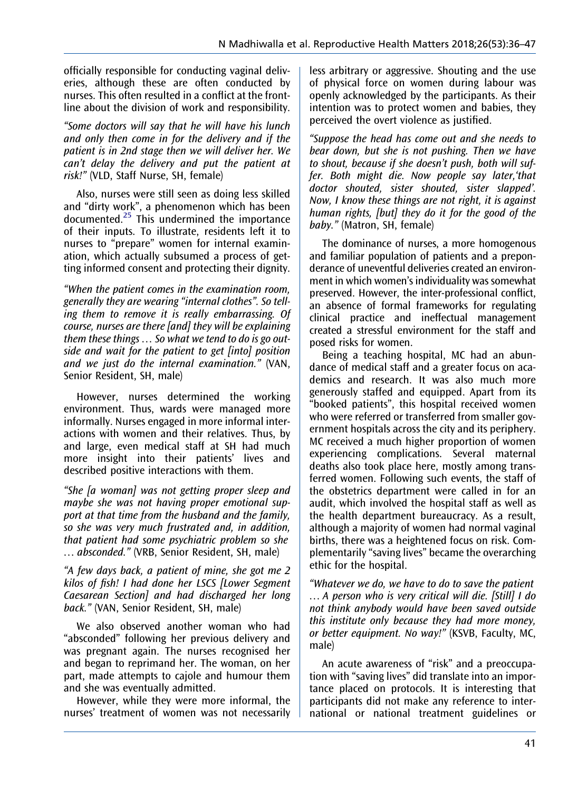officially responsible for conducting vaginal deliveries, although these are often conducted by nurses. This often resulted in a conflict at the frontline about the division of work and responsibility.

"Some doctors will say that he will have his lunch and only then come in for the delivery and if the patient is in 2nd stage then we will deliver her. We can't delay the delivery and put the patient at risk!" (VLD, Staff Nurse, SH, female)

Also, nurses were still seen as doing less skilled and "dirty work", a phenomenon which has been documented. $25$  This undermined the importance of their inputs. To illustrate, residents left it to nurses to "prepare" women for internal examination, which actually subsumed a process of getting informed consent and protecting their dignity.

"When the patient comes in the examination room, generally they are wearing "internal clothes". So telling them to remove it is really embarrassing. Of course, nurses are there [and] they will be explaining them these things … So what we tend to do is go outside and wait for the patient to get [into] position and we just do the internal examination." (VAN, Senior Resident, SH, male)

However, nurses determined the working environment. Thus, wards were managed more informally. Nurses engaged in more informal interactions with women and their relatives. Thus, by and large, even medical staff at SH had much more insight into their patients' lives and described positive interactions with them.

"She [a woman] was not getting proper sleep and maybe she was not having proper emotional support at that time from the husband and the family, so she was very much frustrated and, in addition, that patient had some psychiatric problem so she … absconded." (VRB, Senior Resident, SH, male)

"A few days back, a patient of mine, she got me 2 kilos of fish! I had done her LSCS [Lower Segment Caesarean Section] and had discharged her long back." (VAN, Senior Resident, SH, male)

We also observed another woman who had "absconded" following her previous delivery and was pregnant again. The nurses recognised her and began to reprimand her. The woman, on her part, made attempts to cajole and humour them and she was eventually admitted.

However, while they were more informal, the nurses' treatment of women was not necessarily less arbitrary or aggressive. Shouting and the use of physical force on women during labour was openly acknowledged by the participants. As their intention was to protect women and babies, they perceived the overt violence as justified.

"Suppose the head has come out and she needs to bear down, but she is not pushing. Then we have to shout, because if she doesn't push, both will suffer. Both might die. Now people say later,'that doctor shouted, sister shouted, sister slapped'. Now, I know these things are not right, it is against human rights, [but] they do it for the good of the baby." (Matron, SH, female)

The dominance of nurses, a more homogenous and familiar population of patients and a preponderance of uneventful deliveries created an environment in which women's individuality was somewhat preserved. However, the inter-professional conflict, an absence of formal frameworks for regulating clinical practice and ineffectual management created a stressful environment for the staff and posed risks for women.

Being a teaching hospital, MC had an abundance of medical staff and a greater focus on academics and research. It was also much more generously staffed and equipped. Apart from its "booked patients", this hospital received women who were referred or transferred from smaller government hospitals across the city and its periphery. MC received a much higher proportion of women experiencing complications. Several maternal deaths also took place here, mostly among transferred women. Following such events, the staff of the obstetrics department were called in for an audit, which involved the hospital staff as well as the health department bureaucracy. As a result, although a majority of women had normal vaginal births, there was a heightened focus on risk. Complementarily "saving lives" became the overarching ethic for the hospital.

"Whatever we do, we have to do to save the patient … A person who is very critical will die. [Still] I do not think anybody would have been saved outside this institute only because they had more money, or better equipment. No way!" (KSVB, Faculty, MC, male)

An acute awareness of "risk" and a preoccupation with "saving lives" did translate into an importance placed on protocols. It is interesting that participants did not make any reference to international or national treatment guidelines or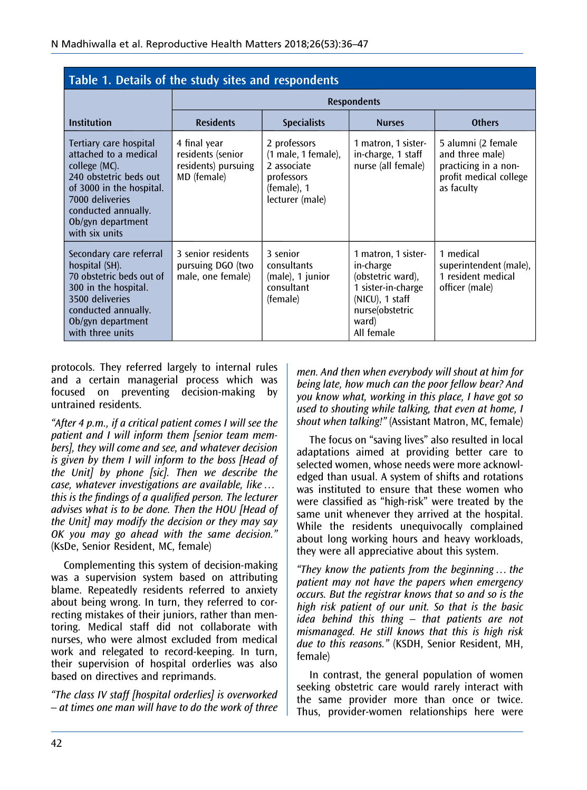| Table 1. Details of the study sites and respondents                                                                                                                                                     |                                                                         |                                                                                                      |                                                                                                                                          |                                                                                                       |
|---------------------------------------------------------------------------------------------------------------------------------------------------------------------------------------------------------|-------------------------------------------------------------------------|------------------------------------------------------------------------------------------------------|------------------------------------------------------------------------------------------------------------------------------------------|-------------------------------------------------------------------------------------------------------|
|                                                                                                                                                                                                         | <b>Respondents</b>                                                      |                                                                                                      |                                                                                                                                          |                                                                                                       |
| <b>Institution</b>                                                                                                                                                                                      | <b>Residents</b>                                                        | <b>Specialists</b>                                                                                   | <b>Nurses</b>                                                                                                                            | <b>Others</b>                                                                                         |
| Tertiary care hospital<br>attached to a medical<br>college (MC).<br>240 obstetric beds out<br>of 3000 in the hospital.<br>7000 deliveries<br>conducted annually.<br>Ob/gyn department<br>with six units | 4 final year<br>residents (senior<br>residents) pursuing<br>MD (female) | 2 professors<br>$(1$ male, 1 female),<br>2 associate<br>professors<br>(female), 1<br>lecturer (male) | 1 matron, 1 sister-<br>in-charge, 1 staff<br>nurse (all female)                                                                          | 5 alumni (2 female<br>and three male)<br>practicing in a non-<br>profit medical college<br>as faculty |
| Secondary care referral<br>hospital (SH).<br>70 obstetric beds out of<br>300 in the hospital.<br>3500 deliveries<br>conducted annually.<br>Ob/gyn department<br>with three units                        | 3 senior residents<br>pursuing DGO (two<br>male, one female)            | 3 senior<br>consultants<br>(male), 1 junior<br>consultant<br>(female)                                | 1 matron, 1 sister-<br>in-charge<br>(obstetric ward),<br>1 sister-in-charge<br>(NICU), 1 staff<br>nurse(obstetric<br>ward)<br>All female | 1 medical<br>superintendent (male),<br>1 resident medical<br>officer (male)                           |

protocols. They referred largely to internal rules and a certain managerial process which was focused on preventing decision-making by untrained residents.

"After 4 p.m., if a critical patient comes I will see the patient and I will inform them [senior team members], they will come and see, and whatever decision is given by them I will inform to the boss [Head of the Unit] by phone [sic]. Then we describe the case, whatever investigations are available, like … this is the findings of a qualified person. The lecturer advises what is to be done. Then the HOU [Head of the Unit] may modify the decision or they may say OK you may go ahead with the same decision." (KsDe, Senior Resident, MC, female)

Complementing this system of decision-making was a supervision system based on attributing blame. Repeatedly residents referred to anxiety about being wrong. In turn, they referred to correcting mistakes of their juniors, rather than mentoring. Medical staff did not collaborate with nurses, who were almost excluded from medical work and relegated to record-keeping. In turn, their supervision of hospital orderlies was also based on directives and reprimands.

"The class IV staff [hospital orderlies] is overworked – at times one man will have to do the work of three men. And then when everybody will shout at him for being late, how much can the poor fellow bear? And you know what, working in this place, I have got so used to shouting while talking, that even at home, I shout when talking!" (Assistant Matron, MC, female)

The focus on "saving lives" also resulted in local adaptations aimed at providing better care to selected women, whose needs were more acknowledged than usual. A system of shifts and rotations was instituted to ensure that these women who were classified as "high-risk" were treated by the same unit whenever they arrived at the hospital. While the residents unequivocally complained about long working hours and heavy workloads, they were all appreciative about this system.

"They know the patients from the beginning … the patient may not have the papers when emergency occurs. But the registrar knows that so and so is the high risk patient of our unit. So that is the basic idea behind this thing – that patients are not mismanaged. He still knows that this is high risk due to this reasons." (KSDH, Senior Resident, MH, female)

In contrast, the general population of women seeking obstetric care would rarely interact with the same provider more than once or twice. Thus, provider-women relationships here were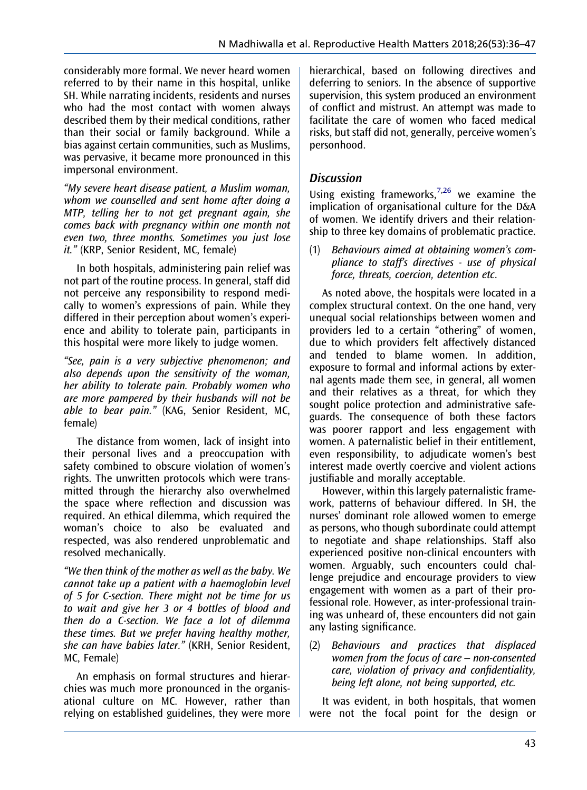<span id="page-8-0"></span>considerably more formal. We never heard women referred to by their name in this hospital, unlike SH. While narrating incidents, residents and nurses who had the most contact with women always described them by their medical conditions, rather than their social or family background. While a bias against certain communities, such as Muslims, was pervasive, it became more pronounced in this impersonal environment.

"My severe heart disease patient, a Muslim woman, whom we counselled and sent home after doing a MTP, telling her to not get pregnant again, she comes back with pregnancy within one month not even two, three months. Sometimes you just lose it." (KRP, Senior Resident, MC, female)

In both hospitals, administering pain relief was not part of the routine process. In general, staff did not perceive any responsibility to respond medically to women's expressions of pain. While they differed in their perception about women's experience and ability to tolerate pain, participants in this hospital were more likely to judge women.

"See, pain is a very subjective phenomenon; and also depends upon the sensitivity of the woman, her ability to tolerate pain. Probably women who are more pampered by their husbands will not be able to bear pain." (KAG, Senior Resident, MC, female)

The distance from women, lack of insight into their personal lives and a preoccupation with safety combined to obscure violation of women's rights. The unwritten protocols which were transmitted through the hierarchy also overwhelmed the space where reflection and discussion was required. An ethical dilemma, which required the woman's choice to also be evaluated and respected, was also rendered unproblematic and resolved mechanically.

"We then think of the mother as well as the baby. We cannot take up a patient with a haemoglobin level of 5 for C-section. There might not be time for us to wait and give her 3 or 4 bottles of blood and then do a C-section. We face a lot of dilemma these times. But we prefer having healthy mother, she can have babies later." (KRH, Senior Resident, MC, Female)

An emphasis on formal structures and hierarchies was much more pronounced in the organisational culture on MC. However, rather than relying on established guidelines, they were more hierarchical, based on following directives and deferring to seniors. In the absence of supportive supervision, this system produced an environment of conflict and mistrust. An attempt was made to facilitate the care of women who faced medical risks, but staff did not, generally, perceive women's personhood.

## **Discussion**

Using existing frameworks,<sup>7,[26](#page-11-0)</sup> we examine the implication of organisational culture for the D&A of women. We identify drivers and their relationship to three key domains of problematic practice.

(1) Behaviours aimed at obtaining women's compliance to staff's directives - use of physical force, threats, coercion, detention etc.

As noted above, the hospitals were located in a complex structural context. On the one hand, very unequal social relationships between women and providers led to a certain "othering" of women, due to which providers felt affectively distanced and tended to blame women. In addition, exposure to formal and informal actions by external agents made them see, in general, all women and their relatives as a threat, for which they sought police protection and administrative safeguards. The consequence of both these factors was poorer rapport and less engagement with women. A paternalistic belief in their entitlement, even responsibility, to adjudicate women's best interest made overtly coercive and violent actions justifiable and morally acceptable.

However, within this largely paternalistic framework, patterns of behaviour differed. In SH, the nurses' dominant role allowed women to emerge as persons, who though subordinate could attempt to negotiate and shape relationships. Staff also experienced positive non-clinical encounters with women. Arguably, such encounters could challenge prejudice and encourage providers to view engagement with women as a part of their professional role. However, as inter-professional training was unheard of, these encounters did not gain any lasting significance.

(2) Behaviours and practices that displaced women from the focus of care – non-consented care, violation of privacy and confidentiality, being left alone, not being supported, etc.

It was evident, in both hospitals, that women were not the focal point for the design or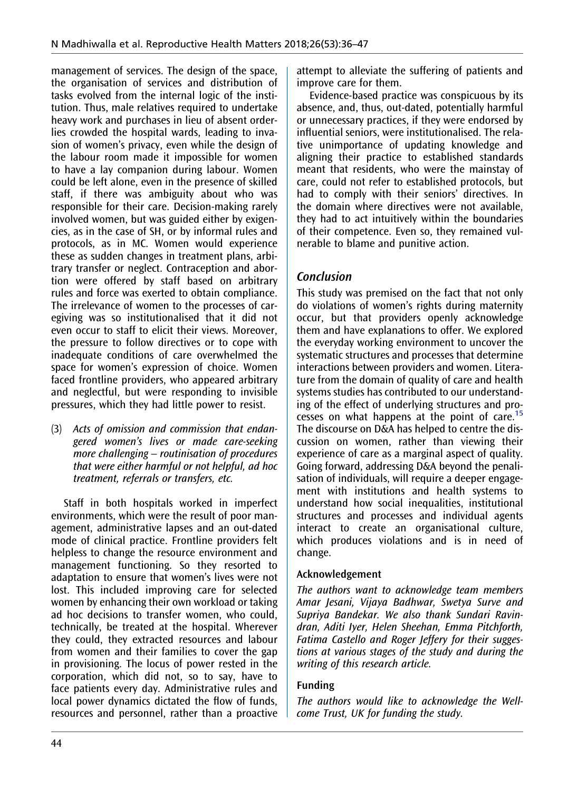management of services. The design of the space, the organisation of services and distribution of tasks evolved from the internal logic of the institution. Thus, male relatives required to undertake heavy work and purchases in lieu of absent orderlies crowded the hospital wards, leading to invasion of women's privacy, even while the design of the labour room made it impossible for women to have a lay companion during labour. Women could be left alone, even in the presence of skilled staff, if there was ambiguity about who was responsible for their care. Decision-making rarely involved women, but was guided either by exigencies, as in the case of SH, or by informal rules and protocols, as in MC. Women would experience these as sudden changes in treatment plans, arbitrary transfer or neglect. Contraception and abortion were offered by staff based on arbitrary rules and force was exerted to obtain compliance. The irrelevance of women to the processes of caregiving was so institutionalised that it did not even occur to staff to elicit their views. Moreover, the pressure to follow directives or to cope with inadequate conditions of care overwhelmed the space for women's expression of choice. Women faced frontline providers, who appeared arbitrary and neglectful, but were responding to invisible pressures, which they had little power to resist.

(3) Acts of omission and commission that endangered women's lives or made care-seeking more challenging – routinisation of procedures that were either harmful or not helpful, ad hoc treatment, referrals or transfers, etc.

Staff in both hospitals worked in imperfect environments, which were the result of poor management, administrative lapses and an out-dated mode of clinical practice. Frontline providers felt helpless to change the resource environment and management functioning. So they resorted to adaptation to ensure that women's lives were not lost. This included improving care for selected women by enhancing their own workload or taking ad hoc decisions to transfer women, who could, technically, be treated at the hospital. Wherever they could, they extracted resources and labour from women and their families to cover the gap in provisioning. The locus of power rested in the corporation, which did not, so to say, have to face patients every day. Administrative rules and local power dynamics dictated the flow of funds, resources and personnel, rather than a proactive attempt to alleviate the suffering of patients and improve care for them.

Evidence-based practice was conspicuous by its absence, and, thus, out-dated, potentially harmful or unnecessary practices, if they were endorsed by influential seniors, were institutionalised. The relative unimportance of updating knowledge and aligning their practice to established standards meant that residents, who were the mainstay of care, could not refer to established protocols, but had to comply with their seniors' directives. In the domain where directives were not available, they had to act intuitively within the boundaries of their competence. Even so, they remained vulnerable to blame and punitive action.

## Conclusion

This study was premised on the fact that not only do violations of women's rights during maternity occur, but that providers openly acknowledge them and have explanations to offer. We explored the everyday working environment to uncover the systematic structures and processes that determine interactions between providers and women. Literature from the domain of quality of care and health systems studies has contributed to our understanding of the effect of underlying structures and pro-cesses on what happens at the point of care.<sup>[15](#page-10-0)</sup> The discourse on D&A has helped to centre the discussion on women, rather than viewing their experience of care as a marginal aspect of quality. Going forward, addressing D&A beyond the penalisation of individuals, will require a deeper engagement with institutions and health systems to understand how social inequalities, institutional structures and processes and individual agents interact to create an organisational culture, which produces violations and is in need of change.

## Acknowledgement

The authors want to acknowledge team members Amar Jesani, Vijaya Badhwar, Swetya Surve and Supriya Bandekar. We also thank Sundari Ravindran, Aditi Iyer, Helen Sheehan, Emma Pitchforth, Fatima Castello and Roger Jeffery for their suggestions at various stages of the study and during the writing of this research article.

## Funding

The authors would like to acknowledge the Wellcome Trust, UK for funding the study.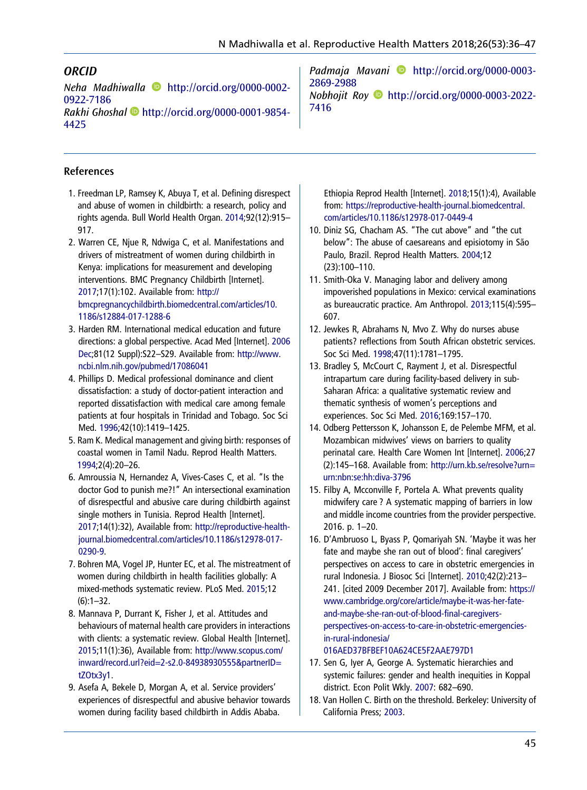### <span id="page-10-0"></span>**ORCID**

Neha Madhiwalla [http://orcid.org/0000-0002-](http://orcid.org/0000-0002-0922-7186) [0922-7186](http://orcid.org/0000-0002-0922-7186) Rakhi Ghoshal [http://orcid.org/0000-0001-9854-](http://orcid.org/0000-0001-9854-4425) [4425](http://orcid.org/0000-0001-9854-4425)

Padmaja Mavani [http://orcid.org/0000-0003-](http://orcid.org/0000-0003-2869-2988) [2869-2988](http://orcid.org/0000-0003-2869-2988) Nobhojit Roy [http://orcid.org/0000-0003-2022-](http://orcid.org/0000-0003-2022-7416) [7416](http://orcid.org/0000-0003-2022-7416)

#### **References**

- 1. Freedman LP, Ramsey K, Abuya T, et al. Defining disrespect and abuse of women in childbirth: a research, policy and rights agenda. Bull World Health Organ. [2014;](#page-1-0)92(12):915– 917.
- 2. Warren CE, Njue R, Ndwiga C, et al. Manifestations and drivers of mistreatment of women during childbirth in Kenya: implications for measurement and developing interventions. BMC Pregnancy Childbirth [Internet]. [2017;](#page-1-0)17(1):102. Available from: [http://](http://bmcpregnancychildbirth.biomedcentral.com/articles/10.1186/s12884-017-1288-6) [bmcpregnancychildbirth.biomedcentral.com/articles/10.](http://bmcpregnancychildbirth.biomedcentral.com/articles/10.1186/s12884-017-1288-6) [1186/s12884-017-1288-6](http://bmcpregnancychildbirth.biomedcentral.com/articles/10.1186/s12884-017-1288-6)
- 3. Harden RM. International medical education and future directions: a global perspective. Acad Med [Internet]. [2006](#page-1-0) [Dec](#page-1-0);81(12 Suppl):S22–S29. Available from: [http://www.](http://www.ncbi.nlm.nih.gov/pubmed/17086041) [ncbi.nlm.nih.gov/pubmed/17086041](http://www.ncbi.nlm.nih.gov/pubmed/17086041)
- 4. Phillips D. Medical professional dominance and client dissatisfaction: a study of doctor-patient interaction and reported dissatisfaction with medical care among female patients at four hospitals in Trinidad and Tobago. Soc Sci Med. [1996;](#page-1-0)42(10):1419–1425.
- 5. Ram K. Medical management and giving birth: responses of coastal women in Tamil Nadu. Reprod Health Matters. [1994](#page-1-0);2(4):20–26.
- 6. Amroussia N, Hernandez A, Vives-Cases C, et al. "Is the doctor God to punish me?!" An intersectional examination of disrespectful and abusive care during childbirth against single mothers in Tunisia. Reprod Health [Internet]. [2017;](#page-1-0)14(1):32), Available from: [http://reproductive-health](http://reproductive-health-journal.biomedcentral.com/articles/10.1186/s12978-017-0290-9)[journal.biomedcentral.com/articles/10.1186/s12978-017-](http://reproductive-health-journal.biomedcentral.com/articles/10.1186/s12978-017-0290-9) [0290-9](http://reproductive-health-journal.biomedcentral.com/articles/10.1186/s12978-017-0290-9).
- 7. Bohren MA, Vogel JP, Hunter EC, et al. The mistreatment of women during childbirth in health facilities globally: A mixed-methods systematic review. PLoS Med. [2015;](#page-8-0)12 (6):1–32.
- 8. Mannava P, Durrant K, Fisher J, et al. Attitudes and behaviours of maternal health care providers in interactions with clients: a systematic review. Global Health [Internet]. 2015;11(1):36), Available from: [http://www.scopus.com/](http://www.scopus.com/inward/record.url?eid=2-s2.0-84938930555%26partnerID=tZOtx3y1) [inward/record.url?eid=2-s2.0-84938930555&partnerID=](http://www.scopus.com/inward/record.url?eid=2-s2.0-84938930555%26partnerID=tZOtx3y1) [tZOtx3y1.](http://www.scopus.com/inward/record.url?eid=2-s2.0-84938930555%26partnerID=tZOtx3y1)
- 9. Asefa A, Bekele D, Morgan A, et al. Service providers' experiences of disrespectful and abusive behavior towards women during facility based childbirth in Addis Ababa.

Ethiopia Reprod Health [Internet]. [2018](#page-1-0);15(1):4), Available from: [https://reproductive-health-journal.biomedcentral.](https://reproductive-health-journal.biomedcentral.com/articles/10.1186/s12978-017-0449-4) [com/articles/10.1186/s12978-017-0449-4](https://reproductive-health-journal.biomedcentral.com/articles/10.1186/s12978-017-0449-4)

- 10. Diniz SG, Chacham AS. "The cut above" and "the cut below": The abuse of caesareans and episiotomy in São Paulo, Brazil. Reprod Health Matters. [2004;](#page-2-0)12 (23):100–110.
- 11. Smith-Oka V. Managing labor and delivery among impoverished populations in Mexico: cervical examinations as bureaucratic practice. Am Anthropol. [2013;](#page-2-0)115(4):595– 607.
- 12. Jewkes R, Abrahams N, Mvo Z. Why do nurses abuse patients? reflections from South African obstetric services. Soc Sci Med. [1998;](#page-2-0)47(11):1781–1795.
- 13. Bradley S, McCourt C, Rayment J, et al. Disrespectful intrapartum care during facility-based delivery in sub-Saharan Africa: a qualitative systematic review and thematic synthesis of women's perceptions and experiences. Soc Sci Med. [2016;](#page-2-0)169:157–170.
- 14. Odberg Pettersson K, Johansson E, de Pelembe MFM, et al. Mozambican midwives' views on barriers to quality perinatal care. Health Care Women Int [Internet]. [2006;](#page-2-0)27 (2):145–168. Available from: [http://urn.kb.se/resolve?urn=](http://urn.kb.se/resolve?urn=urn:nbn:se:hh:diva-3796) [urn:nbn:se:hh:diva-3796](http://urn.kb.se/resolve?urn=urn:nbn:se:hh:diva-3796)
- 15. Filby A, Mcconville F, Portela A. What prevents quality midwifery care ? A systematic mapping of barriers in low and middle income countries from the provider perspective. 2016. p. 1–20.
- 16. D'Ambruoso L, Byass P, Qomariyah SN. 'Maybe it was her fate and maybe she ran out of blood': final caregivers' perspectives on access to care in obstetric emergencies in rural Indonesia. J Biosoc Sci [Internet]. [2010;](#page-2-0)42(2):213– 241. [cited 2009 December 2017]. Available from: [https://](https://www.cambridge.org/core/article/maybe-it-was-her-fate-and-maybe-she-ran-out-of-blood-final-caregivers-perspectives-on-access-to-care-in-obstetric-emergencies-in-rural-indonesia/016AED37BFBEF10A624CE5F2AAE797D1) [www.cambridge.org/core/article/maybe-it-was-her-fate](https://www.cambridge.org/core/article/maybe-it-was-her-fate-and-maybe-she-ran-out-of-blood-final-caregivers-perspectives-on-access-to-care-in-obstetric-emergencies-in-rural-indonesia/016AED37BFBEF10A624CE5F2AAE797D1)[and-maybe-she-ran-out-of-blood-](https://www.cambridge.org/core/article/maybe-it-was-her-fate-and-maybe-she-ran-out-of-blood-final-caregivers-perspectives-on-access-to-care-in-obstetric-emergencies-in-rural-indonesia/016AED37BFBEF10A624CE5F2AAE797D1)final-caregivers[perspectives-on-access-to-care-in-obstetric-emergencies](https://www.cambridge.org/core/article/maybe-it-was-her-fate-and-maybe-she-ran-out-of-blood-final-caregivers-perspectives-on-access-to-care-in-obstetric-emergencies-in-rural-indonesia/016AED37BFBEF10A624CE5F2AAE797D1)[in-rural-indonesia/](https://www.cambridge.org/core/article/maybe-it-was-her-fate-and-maybe-she-ran-out-of-blood-final-caregivers-perspectives-on-access-to-care-in-obstetric-emergencies-in-rural-indonesia/016AED37BFBEF10A624CE5F2AAE797D1) [016AED37BFBEF10A624CE5F2AAE797D1](https://www.cambridge.org/core/article/maybe-it-was-her-fate-and-maybe-she-ran-out-of-blood-final-caregivers-perspectives-on-access-to-care-in-obstetric-emergencies-in-rural-indonesia/016AED37BFBEF10A624CE5F2AAE797D1)
- 17. Sen G, Iyer A, George A. Systematic hierarchies and systemic failures: gender and health inequities in Koppal district. Econ Polit Wkly. [2007](#page-2-0): 682–690.
- 18. Van Hollen C. Birth on the threshold. Berkeley: University of California Press; [2003.](#page-2-0)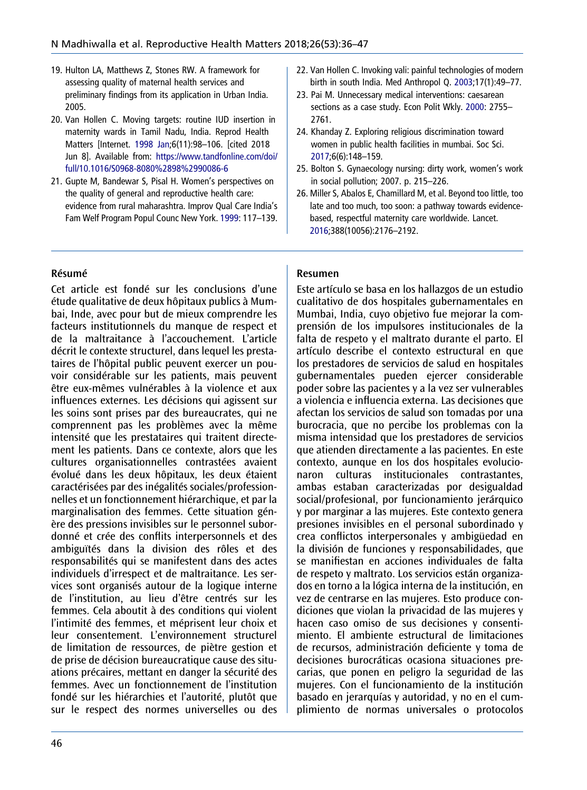- <span id="page-11-0"></span>19. Hulton LA, Matthews Z, Stones RW. A framework for assessing quality of maternal health services and preliminary findings from its application in Urban India. 2005.
- 20. Van Hollen C. Moving targets: routine IUD insertion in maternity wards in Tamil Nadu, India. Reprod Health Matters [Internet. [1998 Jan;](#page-2-0)6(11):98–106. [cited 2018 Jun 8]. Available from: [https://www.tandfonline.com/doi/](https://www.tandfonline.com/doi/full/10.1016/S0968-8080%2898%2990086-6) [full/10.1016/S0968-8080%2898%2990086-6](https://www.tandfonline.com/doi/full/10.1016/S0968-8080%2898%2990086-6)
- 21. Gupte M, Bandewar S, Pisal H. Women's perspectives on the quality of general and reproductive health care: evidence from rural maharashtra. Improv Qual Care India's Fam Welf Program Popul Counc New York. [1999](#page-2-0): 117–139.

#### Résumé

Cet article est fondé sur les conclusions d'une étude qualitative de deux hôpitaux publics à Mumbai, Inde, avec pour but de mieux comprendre les facteurs institutionnels du manque de respect et de la maltraitance à l'accouchement. L'article décrit le contexte structurel, dans lequel les prestataires de l'hôpital public peuvent exercer un pouvoir considérable sur les patients, mais peuvent être eux-mêmes vulnérables à la violence et aux influences externes. Les décisions qui agissent sur les soins sont prises par des bureaucrates, qui ne comprennent pas les problèmes avec la même intensité que les prestataires qui traitent directement les patients. Dans ce contexte, alors que les cultures organisationnelles contrastées avaient évolué dans les deux hôpitaux, les deux étaient caractérisées par des inégalités sociales/professionnelles et un fonctionnement hiérarchique, et par la marginalisation des femmes. Cette situation génère des pressions invisibles sur le personnel subordonné et crée des conflits interpersonnels et des ambiguïtés dans la division des rôles et des responsabilités qui se manifestent dans des actes individuels d'irrespect et de maltraitance. Les services sont organisés autour de la logique interne de l'institution, au lieu d'être centrés sur les femmes. Cela aboutit à des conditions qui violent l'intimité des femmes, et méprisent leur choix et leur consentement. L'environnement structurel de limitation de ressources, de piètre gestion et de prise de décision bureaucratique cause des situations précaires, mettant en danger la sécurité des femmes. Avec un fonctionnement de l'institution fondé sur les hiérarchies et l'autorité, plutôt que sur le respect des normes universelles ou des

- 22. Van Hollen C. Invoking vali: painful technologies of modern birth in south India. Med Anthropol Q. [2003](#page-2-0);17(1):49–77.
- 23. Pai M. Unnecessary medical interventions: caesarean sections as a case study. Econ Polit Wkly. [2000](#page-2-0): 2755– 2761.
- 24. Khanday Z. Exploring religious discrimination toward women in public health facilities in mumbai. Soc Sci. [2017;](#page-4-0)6(6):148–159.
- 25. Bolton S. Gynaecology nursing: dirty work, women's work in social pollution; 2007. p. 215–226.
- 26. Miller S, Abalos E, Chamillard M, et al. Beyond too little, too late and too much, too soon: a pathway towards evidencebased, respectful maternity care worldwide. Lancet. [2016;](#page-8-0)388(10056):2176–2192.

#### Resumen

Este artículo se basa en los hallazgos de un estudio cualitativo de dos hospitales gubernamentales en Mumbai, India, cuyo objetivo fue mejorar la comprensión de los impulsores institucionales de la falta de respeto y el maltrato durante el parto. El artículo describe el contexto estructural en que los prestadores de servicios de salud en hospitales gubernamentales pueden ejercer considerable poder sobre las pacientes y a la vez ser vulnerables a violencia e influencia externa. Las decisiones que afectan los servicios de salud son tomadas por una burocracia, que no percibe los problemas con la misma intensidad que los prestadores de servicios que atienden directamente a las pacientes. En este contexto, aunque en los dos hospitales evolucionaron culturas institucionales contrastantes, ambas estaban caracterizadas por desigualdad social/profesional, por funcionamiento jerárquico y por marginar a las mujeres. Este contexto genera presiones invisibles en el personal subordinado y crea conflictos interpersonales y ambigüedad en la división de funciones y responsabilidades, que se manifiestan en acciones individuales de falta de respeto y maltrato. Los servicios están organizados en torno a la lógica interna de la institución, en vez de centrarse en las mujeres. Esto produce condiciones que violan la privacidad de las mujeres y hacen caso omiso de sus decisiones y consentimiento. El ambiente estructural de limitaciones de recursos, administración deficiente y toma de decisiones burocráticas ocasiona situaciones precarias, que ponen en peligro la seguridad de las mujeres. Con el funcionamiento de la institución basado en jerarquías y autoridad, y no en el cumplimiento de normas universales o protocolos